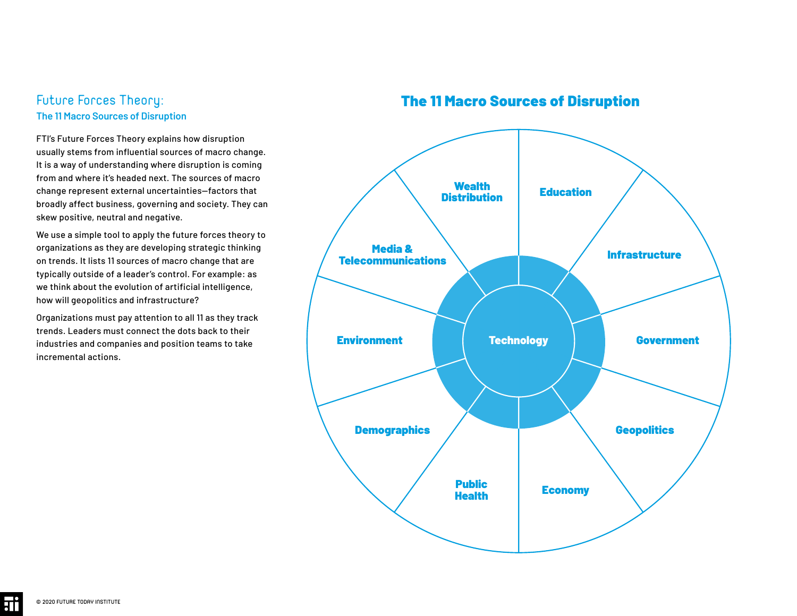# Future Forces Theory: **The 11 Macro Sources of Disruption**

FTI's Future Forces Theory explains how disruption usually stems from influential sources of macro change. It is a way of understanding where disruption is coming from and where it's headed next. The sources of macro change represent external uncertainties—factors that broadly affect business, governing and society. They can skew positive, neutral and negative.

We use a simple tool to apply the future forces theory to organizations as they are developing strategic thinking on trends. It lists 11 sources of macro change that are typically outside of a leader's control. For example: as we think about the evolution of artificial intelligence, how will geopolitics and infrastructure?

Organizations must pay attention to all 11 as they track trends. Leaders must connect the dots back to their industries and companies and position teams to take incremental actions.

# The 11 Macro Sources of Disruption



<u>ii</u>